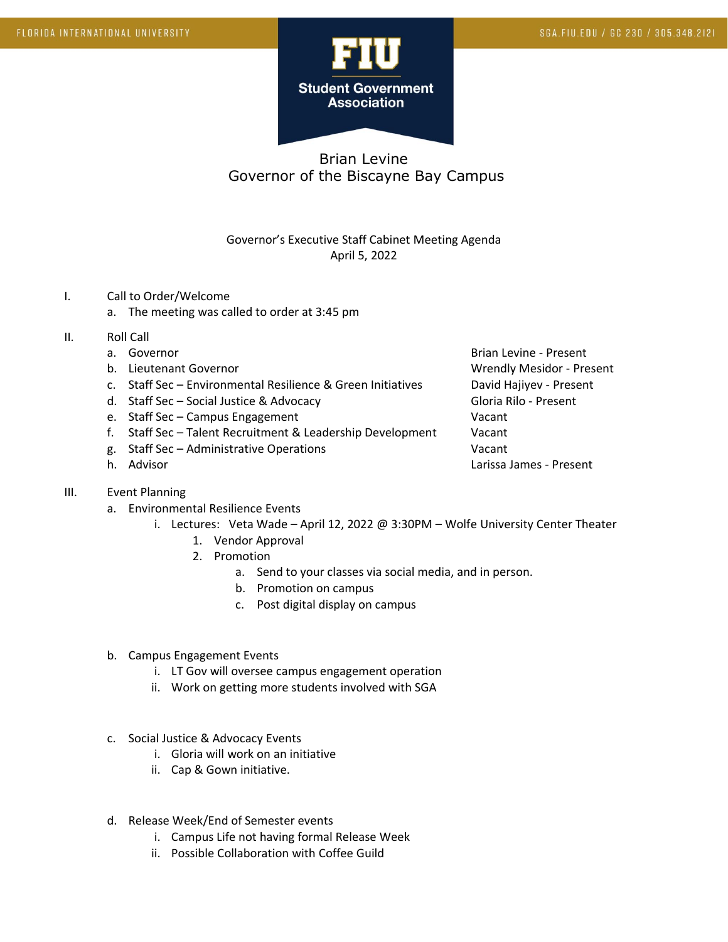

## Brian Levine Governor of the Biscayne Bay Campus

## Governor's Executive Staff Cabinet Meeting Agenda April 5, 2022

- I. Call to Order/Welcome
	- a. The meeting was called to order at 3:45 pm
- II. Roll Call
	-
	-
	- c. Staff Sec Environmental Resilience & Green Initiatives David Hajiyev Present
	- d. Staff Sec Social Justice & Advocacy Gloria Rilo Present
	- e. Staff Sec Campus Engagement Vacant
	- f. Staff Sec Talent Recruitment & Leadership Development Vacant
	- g. Staff Sec Administrative Operations Vacant
	-

## III. Event Planning

- a. Environmental Resilience Events
	- i. Lectures: Veta Wade April 12, 2022 @ 3:30PM Wolfe University Center Theater
		- 1. Vendor Approval
		- 2. Promotion
			- a. Send to your classes via social media, and in person.
			- b. Promotion on campus
			- c. Post digital display on campus
- b. Campus Engagement Events
	- i. LT Gov will oversee campus engagement operation
	- ii. Work on getting more students involved with SGA
- c. Social Justice & Advocacy Events
	- i. Gloria will work on an initiative
	- ii. Cap & Gown initiative.
- d. Release Week/End of Semester events
	- i. Campus Life not having formal Release Week
	- ii. Possible Collaboration with Coffee Guild

a. Governor and the settle of the settle settle settle settle settle settle settle settle settle set and the set of the settle set and the set of the set of the set of the set of the set of the set of the set of the set of b. Lieutenant Governor Communication of the Wrendly Mesidor - Present h. Advisor **Larissa James - Present**